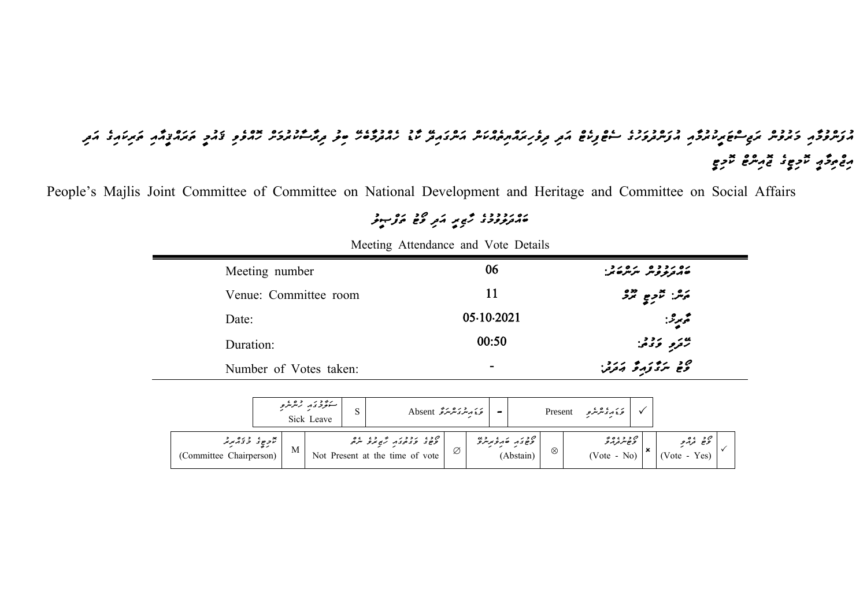## د ره دو کروش کرده می مورد در دود دو دو دو عدو رو مورکر مورد مورد دو دود دو در مورک مورد در دو در دورد می در کرم<br>موسووم کروش کرد موسوع می در دوسروری سایح زاده کرد گروه می مورک در سال مادارد در مورکر ساندور ماده و گامو می م مومو*گو × دوه* × دوم<br>موکو نومو غمر شعر غر

*People's Majlis Joint Committee of Committee on National Development and Heritage and Committee on Social Affairs* 

## *ބައްދަލުވުމުގ ހާޒ ރީ އަދ ވޯޓު ތަފްޞީލު*

| Meeting number         | 06         | ره رد ده مره رد .<br>مهرو و سر سر سر       |
|------------------------|------------|--------------------------------------------|
| Venue: Committee room  | 11         | ړي. تر <sub>وم ترو</sub>                   |
| Date:                  | 05.10.2021 | محمر عنه:                                  |
| Duration:              | 00:50      | ممرد و دو.                                 |
| Number of Votes taken: | $\,$       | ەد بىر ئۇزىر ئۇ ئەترىن.<br>مۇھ بىر ئۇزىر ق |

*Meeting Attendance and Vote Details*

|                                           | ستؤدى روء،<br>Sick Leave |   |  | ئەندىرىمىز ئەھمىز Absent                                                              |   |  |           |   |  | ئۇنەر Present                              |                                                   |  |
|-------------------------------------------|--------------------------|---|--|---------------------------------------------------------------------------------------|---|--|-----------|---|--|--------------------------------------------|---------------------------------------------------|--|
| بر ده دره در د<br>(Committee Chairperson) |                          | M |  | ם כש גברה תו בש שם.<br>קפוצים בבית תו בלילים ביתים<br>Not Present at the time of vote | Ø |  | (Abstain) | ⊗ |  | ם ב ב ۽ ס 2<br>פשית בקה פ<br>$(Note - No)$ | ەد ، ە ە<br>ئۇچ تەر <i>ە</i> بى<br>$(Note - Yes)$ |  |